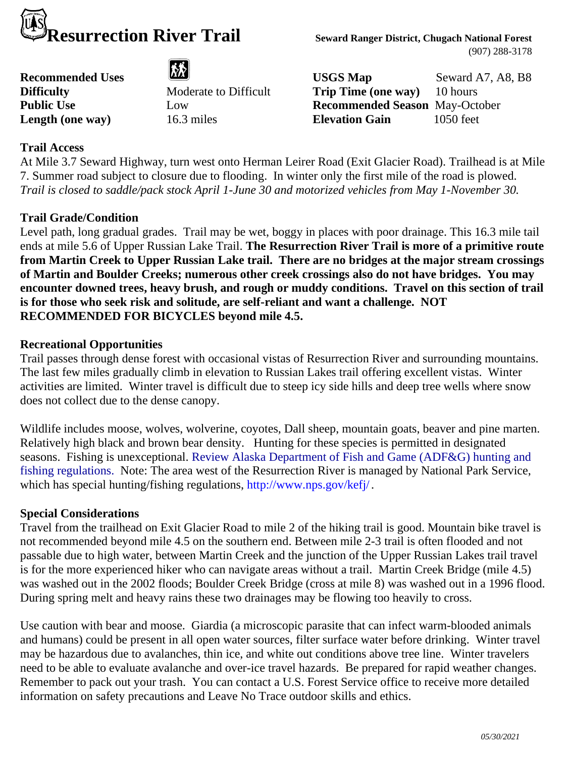

(907) 288-3178

**Recommended Uses USGS Map** Seward A7, A8, B8 **Difficulty** Moderate to Difficult **Trip Time (one way)** 10 hours **Public Use** Low **Recommended Season** May-October **Length (one way)** 16.3 miles **Elevation Gain** 1050 feet

# **Trail Access**

At Mile 3.7 Seward Highway, turn west onto Herman Leirer Road (Exit Glacier Road). Trailhead is at Mile 7. Summer road subject to closure due to flooding. In winter only the first mile of the road is plowed. *Trail is closed to saddle/pack stock April 1-June 30 and motorized vehicles from May 1-November 30.*

# **Trail Grade/Condition**

Level path, long gradual grades. Trail may be wet, boggy in places with poor drainage. This 16.3 mile tail ends at mile 5.6 of Upper Russian Lake Trail. **The Resurrection River Trail is more of a primitive route from Martin Creek to Upper Russian Lake trail. There are no bridges at the major stream crossings of Martin and Boulder Creeks; numerous other creek crossings also do not have bridges. You may encounter downed trees, heavy brush, and rough or muddy conditions. Travel on this section of trail is for those who seek risk and solitude, are self-reliant and want a challenge. NOT RECOMMENDED FOR BICYCLES beyond mile 4.5.** 

### **Recreational Opportunities**

Trail passes through dense forest with occasional vistas of Resurrection River and surrounding mountains. The last few miles gradually climb in elevation to Russian Lakes trail offering excellent vistas. Winter activities are limited. Winter travel is difficult due to steep icy side hills and deep tree wells where snow does not collect due to the dense canopy.

Wildlife includes moose, wolves, wolverine, coyotes, Dall sheep, mountain goats, beaver and pine marten. Relatively high black and brown bear density. Hunting for these species is permitted in designated seasons. Fishing is unexceptional. Review Alaska Department of Fish and Game (ADF&G) hunting and fishing regulations. Note: The area west of the Resurrection River is managed by National Park Service, which has special hunting/fishing regulations, http://www.nps.gov/kefj/.

### **Special Considerations**

Travel from the trailhead on Exit Glacier Road to mile 2 of the hiking trail is good. Mountain bike travel is not recommended beyond mile 4.5 on the southern end. Between mile 2-3 trail is often flooded and not passable due to high water, between Martin Creek and the junction of the Upper Russian Lakes trail travel is for the more experienced hiker who can navigate areas without a trail. Martin Creek Bridge (mile 4.5) was washed out in the 2002 floods; Boulder Creek Bridge (cross at mile 8) was washed out in a 1996 flood. During spring melt and heavy rains these two drainages may be flowing too heavily to cross.

Use caution with bear and moose. Giardia (a microscopic parasite that can infect warm-blooded animals and humans) could be present in all open water sources, filter surface water before drinking. Winter travel may be hazardous due to avalanches, thin ice, and white out conditions above tree line. Winter travelers need to be able to evaluate avalanche and over-ice travel hazards. Be prepared for rapid weather changes. Remember to pack out your trash. You can contact a U.S. Forest Service office to receive more detailed information on safety precautions and Leave No Trace outdoor skills and ethics.